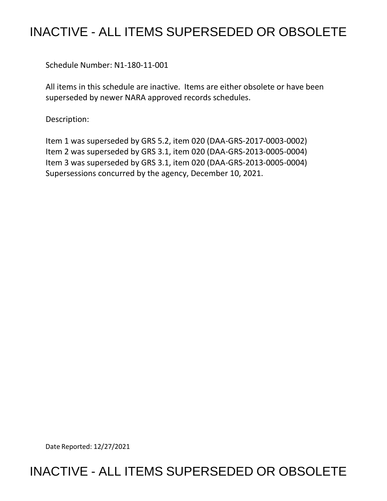# INACTIVE - ALL ITEMS SUPERSEDED OR OBSOLETE

Schedule Number: N1-180-11-001

 All items in this schedule are inactive. Items are either obsolete or have been superseded by newer NARA approved records schedules.

Description:

 Item 1 was superseded by GRS 5.2, item 020 (DAA-GRS-2017-0003-0002) Item 2 was superseded by GRS 3.1, item 020 (DAA-GRS-2013-0005-0004) Item 3 was superseded by GRS 3.1, item 020 (DAA-GRS-2013-0005-0004) Supersessions concurred by the agency, December 10, 2021.

Date Reported: 12/27/2021

## INACTIVE - ALL ITEMS SUPERSEDED OR OBSOLETE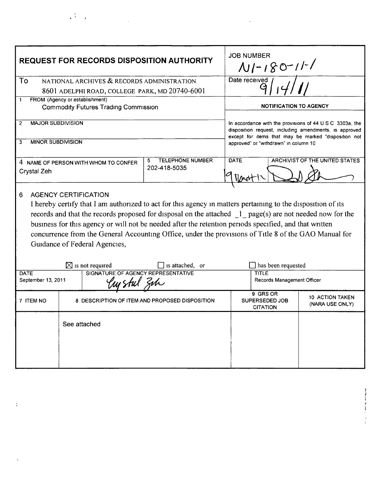| <b>REQUEST FOR RECORDS DISPOSITION AUTHORITY</b>                                                                                                                                                                                                                                                                                                                                                                                                                                                                |              |                                                | <b>JOB NUMBER</b><br>$N1-180-11-1$                                                                                                                                         |                                               |                                           |
|-----------------------------------------------------------------------------------------------------------------------------------------------------------------------------------------------------------------------------------------------------------------------------------------------------------------------------------------------------------------------------------------------------------------------------------------------------------------------------------------------------------------|--------------|------------------------------------------------|----------------------------------------------------------------------------------------------------------------------------------------------------------------------------|-----------------------------------------------|-------------------------------------------|
| To<br>NATIONAL ARCHIVES & RECORDS ADMINISTRATION<br>8601 ADELPHI ROAD, COLLEGE PARK, MD 20740-6001                                                                                                                                                                                                                                                                                                                                                                                                              |              |                                                | Date received                                                                                                                                                              |                                               |                                           |
| FROM (Agency or establishment)<br>1<br><b>Commodity Futures Trading Commission</b>                                                                                                                                                                                                                                                                                                                                                                                                                              |              |                                                | <b>NOTIFICATION TO AGENCY</b>                                                                                                                                              |                                               |                                           |
| <b>MAJOR SUBDIVISION</b><br>$\overline{2}$                                                                                                                                                                                                                                                                                                                                                                                                                                                                      |              |                                                | In accordance with the provisions of 44 U S C 3303a, the<br>disposition request, including amendments, is approved<br>except for items that may be marked "disposition not |                                               |                                           |
| <b>MINOR SUBDIVISION</b><br>3                                                                                                                                                                                                                                                                                                                                                                                                                                                                                   |              |                                                | approved" or "withdrawn" in column 10                                                                                                                                      |                                               |                                           |
| 4 NAME OF PERSON WITH WHOM TO CONFER<br>Crystal Zeh                                                                                                                                                                                                                                                                                                                                                                                                                                                             |              | <b>TELEPHONE NUMBER</b><br>5.<br>202-418-5035  | <b>DATE</b>                                                                                                                                                                |                                               | ARCHIVIST OF THE UNITED STATES            |
| <b>AGENCY CERTIFICATION</b><br>6<br>I hereby certify that I am authorized to act for this agency in matters pertaining to the disposition of its<br>records and that the records proposed for disposal on the attached 1 page(s) are not needed now for the<br>business for this agency or will not be needed after the retention periods specified, and that written<br>concurrence from the General Accounting Office, under the provisions of Title 8 of the GAO Manual for<br>Guidance of Federal Agencies, |              |                                                |                                                                                                                                                                            |                                               |                                           |
| $\boxtimes$ is not required<br>  Is attached, or<br>SIGNATURE OF AGENCY REPRESENTATIVE<br><b>DATE</b>                                                                                                                                                                                                                                                                                                                                                                                                           |              |                                                | has been requested<br><b>TITLE</b>                                                                                                                                         |                                               |                                           |
| September 13, 2011                                                                                                                                                                                                                                                                                                                                                                                                                                                                                              |              | Records Management Officer                     |                                                                                                                                                                            |                                               |                                           |
| 7 ITEM NO                                                                                                                                                                                                                                                                                                                                                                                                                                                                                                       |              | 8 DESCRIPTION OF ITEM AND PROPOSED DISPOSITION |                                                                                                                                                                            | 9 GRS OR<br>SUPERSEDED JOB<br><b>CITATION</b> | <b>10 ACTION TAKEN</b><br>(NARA USE ONLY) |
|                                                                                                                                                                                                                                                                                                                                                                                                                                                                                                                 | See attached |                                                |                                                                                                                                                                            |                                               |                                           |

 $\mathcal{L}_{\text{max}}$  and  $\mathcal{L}_{\text{max}}$ 

**THE REPORT OF THE CONTROL** 

 $\frac{1}{2} \frac{1}{2} \frac{1}{2}$ 

 $\zeta$ 

 $\bar{\zeta}$ 

 $\label{eq:2.1} \frac{1}{\sqrt{2}}\int_{\mathbb{R}^3}\frac{1}{\sqrt{2}}\left(\frac{1}{\sqrt{2}}\right)^2\frac{1}{\sqrt{2}}\left(\frac{1}{\sqrt{2}}\right)^2\frac{1}{\sqrt{2}}\left(\frac{1}{\sqrt{2}}\right)^2\frac{1}{\sqrt{2}}\left(\frac{1}{\sqrt{2}}\right)^2.$